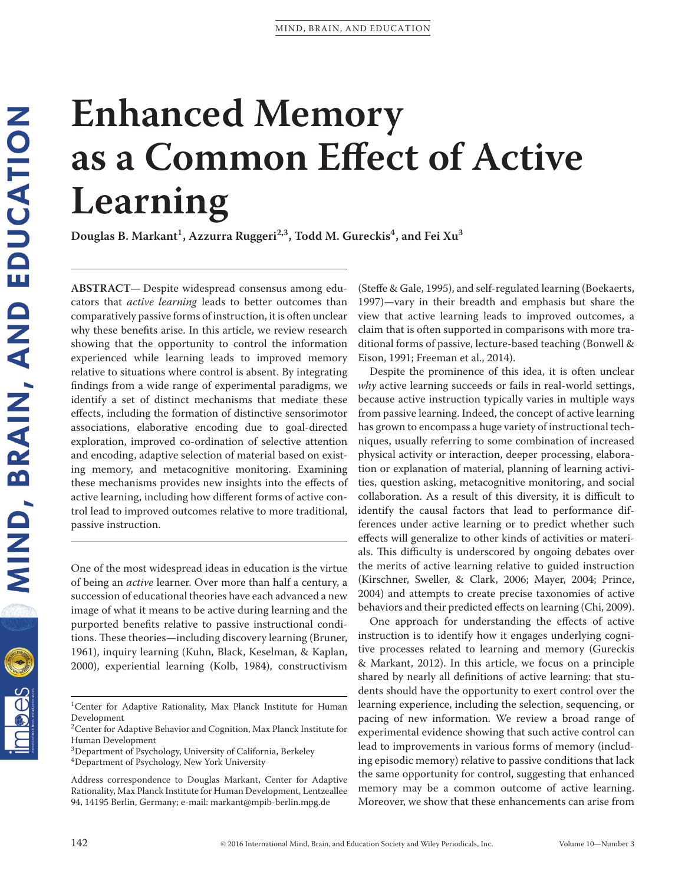# **Enhanced Memory as a Common Effect of Active Learning**

Douglas B. Markant<sup>1</sup>, Azzurra Ruggeri<sup>2,3</sup>, Todd M. Gureckis<sup>4</sup>, and Fei Xu<sup>3</sup>

**ABSTRACT—** Despite widespread consensus among educators that *active learning* leads to better outcomes than comparatively passive forms of instruction, it is often unclear why these benefits arise. In this article, we review research showing that the opportunity to control the information experienced while learning leads to improved memory relative to situations where control is absent. By integrating findings from a wide range of experimental paradigms, we identify a set of distinct mechanisms that mediate these effects, including the formation of distinctive sensorimotor associations, elaborative encoding due to goal-directed exploration, improved co-ordination of selective attention and encoding, adaptive selection of material based on existing memory, and metacognitive monitoring. Examining these mechanisms provides new insights into the effects of active learning, including how different forms of active control lead to improved outcomes relative to more traditional, passive instruction.

One of the most widespread ideas in education is the virtue of being an *active* learner. Over more than half a century, a succession of educational theories have each advanced a new image of what it means to be active during learning and the purported benefits relative to passive instructional conditions. These theories—including discovery learning (Bruner, 1961), inquiry learning (Kuhn, Black, Keselman, & Kaplan, 2000), experiential learning (Kolb, 1984), constructivism

(Steffe & Gale, 1995), and self-regulated learning (Boekaerts, 1997)—vary in their breadth and emphasis but share the view that active learning leads to improved outcomes, a claim that is often supported in comparisons with more traditional forms of passive, lecture-based teaching (Bonwell & Eison, 1991; Freeman et al., 2014).

Despite the prominence of this idea, it is often unclear *why* active learning succeeds or fails in real-world settings, because active instruction typically varies in multiple ways from passive learning. Indeed, the concept of active learning has grown to encompass a huge variety of instructional techniques, usually referring to some combination of increased physical activity or interaction, deeper processing, elaboration or explanation of material, planning of learning activities, question asking, metacognitive monitoring, and social collaboration. As a result of this diversity, it is difficult to identify the causal factors that lead to performance differences under active learning or to predict whether such effects will generalize to other kinds of activities or materials. This difficulty is underscored by ongoing debates over the merits of active learning relative to guided instruction (Kirschner, Sweller, & Clark, 2006; Mayer, 2004; Prince, 2004) and attempts to create precise taxonomies of active behaviors and their predicted effects on learning (Chi, 2009).

One approach for understanding the effects of active instruction is to identify how it engages underlying cognitive processes related to learning and memory (Gureckis & Markant, 2012). In this article, we focus on a principle shared by nearly all definitions of active learning: that students should have the opportunity to exert control over the learning experience, including the selection, sequencing, or pacing of new information. We review a broad range of experimental evidence showing that such active control can lead to improvements in various forms of memory (including episodic memory) relative to passive conditions that lack the same opportunity for control, suggesting that enhanced memory may be a common outcome of active learning. Moreover, we show that these enhancements can arise from

<sup>&</sup>lt;sup>1</sup>Center for Adaptive Rationality, Max Planck Institute for Human Development

<sup>&</sup>lt;sup>2</sup> Center for Adaptive Behavior and Cognition, Max Planck Institute for Human Development

<sup>3</sup>Department of Psychology, University of California, Berkeley 4Department of Psychology, New York University

Address correspondence to Douglas Markant, Center for Adaptive Rationality, Max Planck Institute for Human Development, Lentzeallee 94, 14195 Berlin, Germany; e-mail: markant@mpib-berlin.mpg.de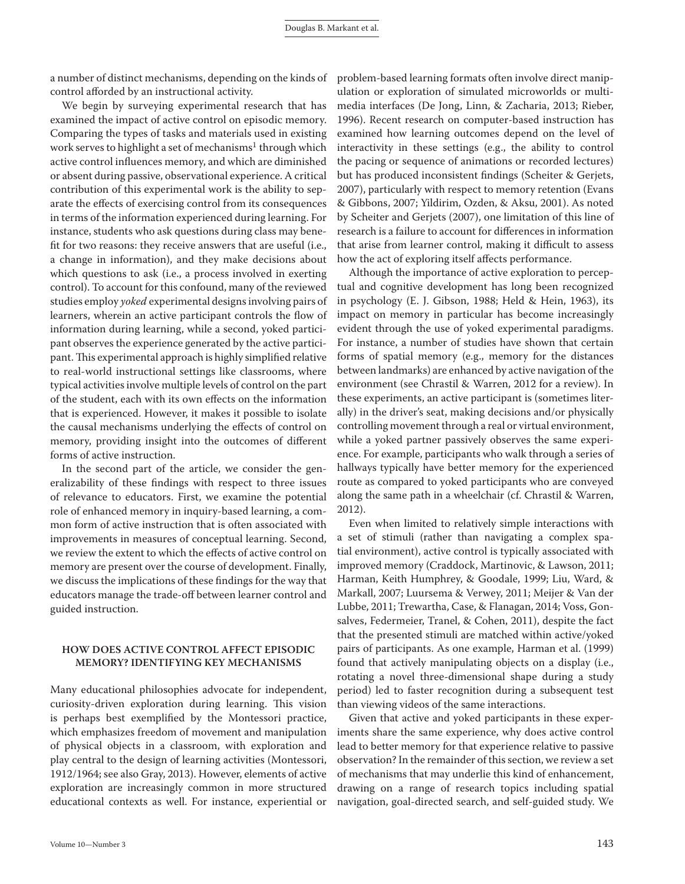a number of distinct mechanisms, depending on the kinds of control afforded by an instructional activity.

We begin by surveying experimental research that has examined the impact of active control on episodic memory. Comparing the types of tasks and materials used in existing work serves to highlight a set of mechanisms<sup>1</sup> through which active control influences memory, and which are diminished or absent during passive, observational experience. A critical contribution of this experimental work is the ability to separate the effects of exercising control from its consequences in terms of the information experienced during learning. For instance, students who ask questions during class may benefit for two reasons: they receive answers that are useful (i.e., a change in information), and they make decisions about which questions to ask (i.e., a process involved in exerting control). To account for this confound, many of the reviewed studies employ *yoked* experimental designs involving pairs of learners, wherein an active participant controls the flow of information during learning, while a second, yoked participant observes the experience generated by the active participant.This experimental approach is highly simplified relative to real-world instructional settings like classrooms, where typical activities involve multiple levels of control on the part of the student, each with its own effects on the information that is experienced. However, it makes it possible to isolate the causal mechanisms underlying the effects of control on memory, providing insight into the outcomes of different forms of active instruction.

In the second part of the article, we consider the generalizability of these findings with respect to three issues of relevance to educators. First, we examine the potential role of enhanced memory in inquiry-based learning, a common form of active instruction that is often associated with improvements in measures of conceptual learning. Second, we review the extent to which the effects of active control on memory are present over the course of development. Finally, we discuss the implications of these findings for the way that educators manage the trade-off between learner control and guided instruction.

# **HOW DOES ACTIVE CONTROL AFFECT EPISODIC MEMORY? IDENTIFYING KEY MECHANISMS**

Many educational philosophies advocate for independent, curiosity-driven exploration during learning. This vision is perhaps best exemplified by the Montessori practice, which emphasizes freedom of movement and manipulation of physical objects in a classroom, with exploration and play central to the design of learning activities (Montessori, 1912/1964; see also Gray, 2013). However, elements of active exploration are increasingly common in more structured educational contexts as well. For instance, experiential or

problem-based learning formats often involve direct manipulation or exploration of simulated microworlds or multimedia interfaces (De Jong, Linn, & Zacharia, 2013; Rieber, 1996). Recent research on computer-based instruction has examined how learning outcomes depend on the level of interactivity in these settings (e.g., the ability to control the pacing or sequence of animations or recorded lectures) but has produced inconsistent findings (Scheiter & Gerjets, 2007), particularly with respect to memory retention (Evans & Gibbons, 2007; Yildirim, Ozden, & Aksu, 2001). As noted by Scheiter and Gerjets (2007), one limitation of this line of research is a failure to account for differences in information that arise from learner control, making it difficult to assess how the act of exploring itself affects performance.

Although the importance of active exploration to perceptual and cognitive development has long been recognized in psychology (E. J. Gibson, 1988; Held & Hein, 1963), its impact on memory in particular has become increasingly evident through the use of yoked experimental paradigms. For instance, a number of studies have shown that certain forms of spatial memory (e.g., memory for the distances between landmarks) are enhanced by active navigation of the environment (see Chrastil & Warren, 2012 for a review). In these experiments, an active participant is (sometimes literally) in the driver's seat, making decisions and/or physically controlling movement through a real or virtual environment, while a yoked partner passively observes the same experience. For example, participants who walk through a series of hallways typically have better memory for the experienced route as compared to yoked participants who are conveyed along the same path in a wheelchair (cf. Chrastil & Warren, 2012).

Even when limited to relatively simple interactions with a set of stimuli (rather than navigating a complex spatial environment), active control is typically associated with improved memory (Craddock, Martinovic, & Lawson, 2011; Harman, Keith Humphrey, & Goodale, 1999; Liu, Ward, & Markall, 2007; Luursema & Verwey, 2011; Meijer & Van der Lubbe, 2011; Trewartha, Case, & Flanagan, 2014; Voss, Gonsalves, Federmeier, Tranel, & Cohen, 2011), despite the fact that the presented stimuli are matched within active/yoked pairs of participants. As one example, Harman et al. (1999) found that actively manipulating objects on a display (i.e., rotating a novel three-dimensional shape during a study period) led to faster recognition during a subsequent test than viewing videos of the same interactions.

Given that active and yoked participants in these experiments share the same experience, why does active control lead to better memory for that experience relative to passive observation? In the remainder of this section, we review a set of mechanisms that may underlie this kind of enhancement, drawing on a range of research topics including spatial navigation, goal-directed search, and self-guided study. We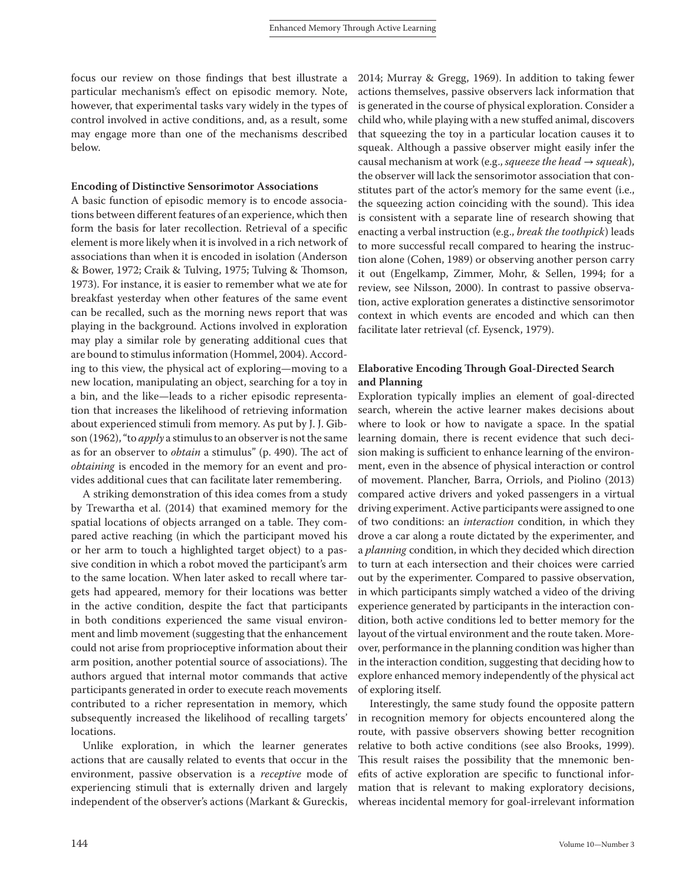focus our review on those findings that best illustrate a particular mechanism's effect on episodic memory. Note, however, that experimental tasks vary widely in the types of control involved in active conditions, and, as a result, some may engage more than one of the mechanisms described below.

#### **Encoding of Distinctive Sensorimotor Associations**

A basic function of episodic memory is to encode associations between different features of an experience, which then form the basis for later recollection. Retrieval of a specific element is more likely when it is involved in a rich network of associations than when it is encoded in isolation (Anderson & Bower, 1972; Craik & Tulving, 1975; Tulving & Thomson, 1973). For instance, it is easier to remember what we ate for breakfast yesterday when other features of the same event can be recalled, such as the morning news report that was playing in the background. Actions involved in exploration may play a similar role by generating additional cues that are bound to stimulus information (Hommel, 2004). According to this view, the physical act of exploring—moving to a new location, manipulating an object, searching for a toy in a bin, and the like—leads to a richer episodic representation that increases the likelihood of retrieving information about experienced stimuli from memory. As put by J. J. Gibson (1962), "to *apply* a stimulus to an observer is not the same as for an observer to *obtain* a stimulus" (p. 490). The act of *obtaining* is encoded in the memory for an event and provides additional cues that can facilitate later remembering.

A striking demonstration of this idea comes from a study by Trewartha et al. (2014) that examined memory for the spatial locations of objects arranged on a table. They compared active reaching (in which the participant moved his or her arm to touch a highlighted target object) to a passive condition in which a robot moved the participant's arm to the same location. When later asked to recall where targets had appeared, memory for their locations was better in the active condition, despite the fact that participants in both conditions experienced the same visual environment and limb movement (suggesting that the enhancement could not arise from proprioceptive information about their arm position, another potential source of associations). The authors argued that internal motor commands that active participants generated in order to execute reach movements contributed to a richer representation in memory, which subsequently increased the likelihood of recalling targets' locations.

Unlike exploration, in which the learner generates actions that are causally related to events that occur in the environment, passive observation is a *receptive* mode of experiencing stimuli that is externally driven and largely independent of the observer's actions (Markant & Gureckis,

2014; Murray & Gregg, 1969). In addition to taking fewer actions themselves, passive observers lack information that is generated in the course of physical exploration. Consider a child who, while playing with a new stuffed animal, discovers that squeezing the toy in a particular location causes it to squeak. Although a passive observer might easily infer the causal mechanism at work (e.g., *squeeze the head* → *squeak*), the observer will lack the sensorimotor association that constitutes part of the actor's memory for the same event (i.e., the squeezing action coinciding with the sound). This idea is consistent with a separate line of research showing that enacting a verbal instruction (e.g., *break the toothpick*) leads to more successful recall compared to hearing the instruction alone (Cohen, 1989) or observing another person carry it out (Engelkamp, Zimmer, Mohr, & Sellen, 1994; for a review, see Nilsson, 2000). In contrast to passive observation, active exploration generates a distinctive sensorimotor context in which events are encoded and which can then facilitate later retrieval (cf. Eysenck, 1979).

# **Elaborative Encoding Through Goal-Directed Search and Planning**

Exploration typically implies an element of goal-directed search, wherein the active learner makes decisions about where to look or how to navigate a space. In the spatial learning domain, there is recent evidence that such decision making is sufficient to enhance learning of the environment, even in the absence of physical interaction or control of movement. Plancher, Barra, Orriols, and Piolino (2013) compared active drivers and yoked passengers in a virtual driving experiment. Active participants were assigned to one of two conditions: an *interaction* condition, in which they drove a car along a route dictated by the experimenter, and a *planning* condition, in which they decided which direction to turn at each intersection and their choices were carried out by the experimenter. Compared to passive observation, in which participants simply watched a video of the driving experience generated by participants in the interaction condition, both active conditions led to better memory for the layout of the virtual environment and the route taken. Moreover, performance in the planning condition was higher than in the interaction condition, suggesting that deciding how to explore enhanced memory independently of the physical act of exploring itself.

Interestingly, the same study found the opposite pattern in recognition memory for objects encountered along the route, with passive observers showing better recognition relative to both active conditions (see also Brooks, 1999). This result raises the possibility that the mnemonic benefits of active exploration are specific to functional information that is relevant to making exploratory decisions, whereas incidental memory for goal-irrelevant information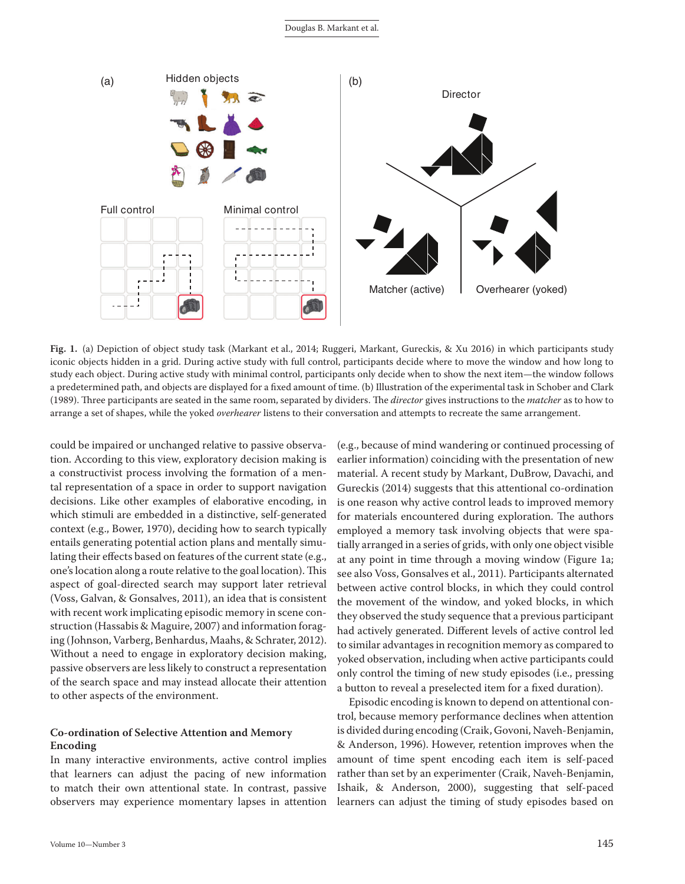

**Fig. 1.** (a) Depiction of object study task (Markant et al., 2014; Ruggeri, Markant, Gureckis, & Xu 2016) in which participants study iconic objects hidden in a grid. During active study with full control, participants decide where to move the window and how long to study each object. During active study with minimal control, participants only decide when to show the next item—the window follows a predetermined path, and objects are displayed for a fixed amount of time. (b) Illustration of the experimental task in Schober and Clark (1989). Three participants are seated in the same room, separated by dividers. The *director* gives instructions to the *matcher* as to how to arrange a set of shapes, while the yoked *overhearer* listens to their conversation and attempts to recreate the same arrangement.

could be impaired or unchanged relative to passive observation. According to this view, exploratory decision making is a constructivist process involving the formation of a mental representation of a space in order to support navigation decisions. Like other examples of elaborative encoding, in which stimuli are embedded in a distinctive, self-generated context (e.g., Bower, 1970), deciding how to search typically entails generating potential action plans and mentally simulating their effects based on features of the current state (e.g., one's location along a route relative to the goal location).This aspect of goal-directed search may support later retrieval (Voss, Galvan, & Gonsalves, 2011), an idea that is consistent with recent work implicating episodic memory in scene construction (Hassabis & Maguire, 2007) and information foraging (Johnson, Varberg, Benhardus, Maahs, & Schrater, 2012). Without a need to engage in exploratory decision making, passive observers are less likely to construct a representation of the search space and may instead allocate their attention to other aspects of the environment.

## **Co-ordination of Selective Attention and Memory Encoding**

In many interactive environments, active control implies that learners can adjust the pacing of new information to match their own attentional state. In contrast, passive observers may experience momentary lapses in attention

Volume 10—Number 3  $145$ 

(e.g., because of mind wandering or continued processing of earlier information) coinciding with the presentation of new material. A recent study by Markant, DuBrow, Davachi, and Gureckis (2014) suggests that this attentional co-ordination is one reason why active control leads to improved memory for materials encountered during exploration. The authors employed a memory task involving objects that were spatially arranged in a series of grids, with only one object visible at any point in time through a moving window (Figure 1a; see also Voss, Gonsalves et al., 2011). Participants alternated between active control blocks, in which they could control the movement of the window, and yoked blocks, in which they observed the study sequence that a previous participant had actively generated. Different levels of active control led to similar advantages in recognition memory as compared to yoked observation, including when active participants could only control the timing of new study episodes (i.e., pressing a button to reveal a preselected item for a fixed duration).

Episodic encoding is known to depend on attentional control, because memory performance declines when attention is divided during encoding (Craik, Govoni, Naveh-Benjamin, & Anderson, 1996). However, retention improves when the amount of time spent encoding each item is self-paced rather than set by an experimenter (Craik, Naveh-Benjamin, Ishaik, & Anderson, 2000), suggesting that self-paced learners can adjust the timing of study episodes based on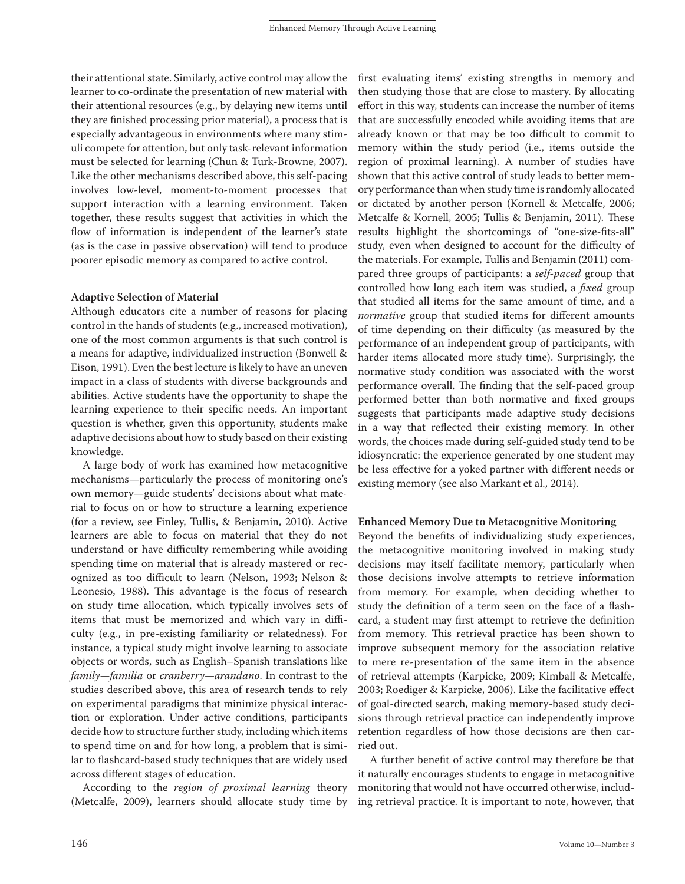their attentional state. Similarly, active control may allow the learner to co-ordinate the presentation of new material with their attentional resources (e.g., by delaying new items until they are finished processing prior material), a process that is especially advantageous in environments where many stimuli compete for attention, but only task-relevant information must be selected for learning (Chun & Turk-Browne, 2007). Like the other mechanisms described above, this self-pacing involves low-level, moment-to-moment processes that support interaction with a learning environment. Taken together, these results suggest that activities in which the flow of information is independent of the learner's state (as is the case in passive observation) will tend to produce poorer episodic memory as compared to active control.

#### **Adaptive Selection of Material**

Although educators cite a number of reasons for placing control in the hands of students (e.g., increased motivation), one of the most common arguments is that such control is a means for adaptive, individualized instruction (Bonwell & Eison, 1991). Even the best lecture is likely to have an uneven impact in a class of students with diverse backgrounds and abilities. Active students have the opportunity to shape the learning experience to their specific needs. An important question is whether, given this opportunity, students make adaptive decisions about how to study based on their existing knowledge.

A large body of work has examined how metacognitive mechanisms—particularly the process of monitoring one's own memory—guide students' decisions about what material to focus on or how to structure a learning experience (for a review, see Finley, Tullis, & Benjamin, 2010). Active learners are able to focus on material that they do not understand or have difficulty remembering while avoiding spending time on material that is already mastered or recognized as too difficult to learn (Nelson, 1993; Nelson & Leonesio, 1988). This advantage is the focus of research on study time allocation, which typically involves sets of items that must be memorized and which vary in difficulty (e.g., in pre-existing familiarity or relatedness). For instance, a typical study might involve learning to associate objects or words, such as English–Spanish translations like *family—familia* or *cranberry—arandano*. In contrast to the studies described above, this area of research tends to rely on experimental paradigms that minimize physical interaction or exploration. Under active conditions, participants decide how to structure further study, including which items to spend time on and for how long, a problem that is similar to flashcard-based study techniques that are widely used across different stages of education.

According to the *region of proximal learning* theory (Metcalfe, 2009), learners should allocate study time by

first evaluating items' existing strengths in memory and then studying those that are close to mastery. By allocating effort in this way, students can increase the number of items that are successfully encoded while avoiding items that are already known or that may be too difficult to commit to memory within the study period (i.e., items outside the region of proximal learning). A number of studies have shown that this active control of study leads to better memory performance than when study time is randomly allocated or dictated by another person (Kornell & Metcalfe, 2006; Metcalfe & Kornell, 2005; Tullis & Benjamin, 2011). These results highlight the shortcomings of "one-size-fits-all" study, even when designed to account for the difficulty of the materials. For example, Tullis and Benjamin (2011) compared three groups of participants: a *self-paced* group that controlled how long each item was studied, a *fixed* group that studied all items for the same amount of time, and a *normative* group that studied items for different amounts of time depending on their difficulty (as measured by the performance of an independent group of participants, with harder items allocated more study time). Surprisingly, the normative study condition was associated with the worst performance overall. The finding that the self-paced group performed better than both normative and fixed groups suggests that participants made adaptive study decisions in a way that reflected their existing memory. In other words, the choices made during self-guided study tend to be idiosyncratic: the experience generated by one student may be less effective for a yoked partner with different needs or existing memory (see also Markant et al., 2014).

#### **Enhanced Memory Due to Metacognitive Monitoring**

Beyond the benefits of individualizing study experiences, the metacognitive monitoring involved in making study decisions may itself facilitate memory, particularly when those decisions involve attempts to retrieve information from memory. For example, when deciding whether to study the definition of a term seen on the face of a flashcard, a student may first attempt to retrieve the definition from memory. This retrieval practice has been shown to improve subsequent memory for the association relative to mere re-presentation of the same item in the absence of retrieval attempts (Karpicke, 2009; Kimball & Metcalfe, 2003; Roediger & Karpicke, 2006). Like the facilitative effect of goal-directed search, making memory-based study decisions through retrieval practice can independently improve retention regardless of how those decisions are then carried out.

A further benefit of active control may therefore be that it naturally encourages students to engage in metacognitive monitoring that would not have occurred otherwise, including retrieval practice. It is important to note, however, that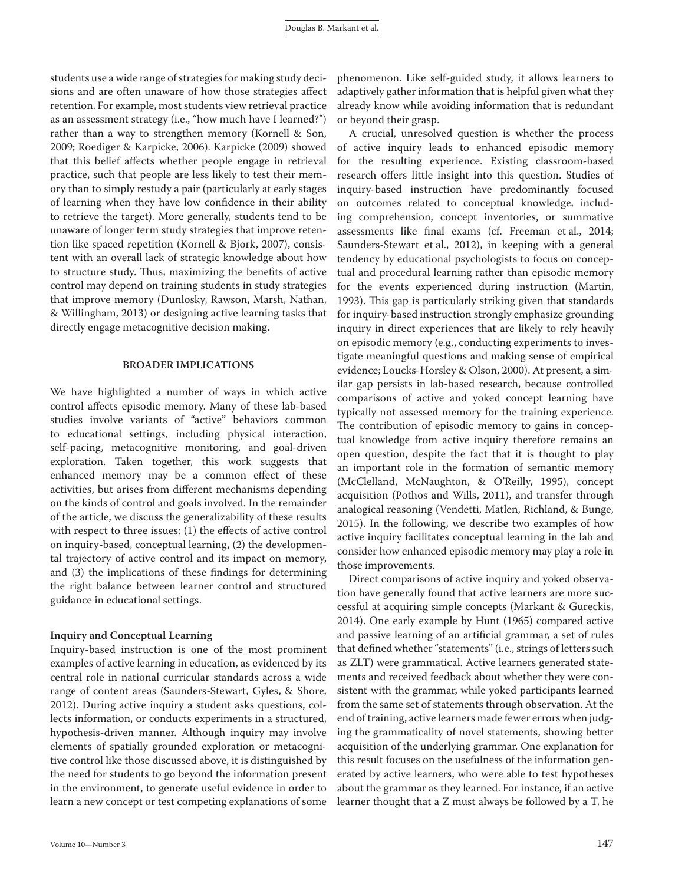students use a wide range of strategies for making study decisions and are often unaware of how those strategies affect retention. For example, most students view retrieval practice as an assessment strategy (i.e., "how much have I learned?") rather than a way to strengthen memory (Kornell & Son, 2009; Roediger & Karpicke, 2006). Karpicke (2009) showed that this belief affects whether people engage in retrieval practice, such that people are less likely to test their memory than to simply restudy a pair (particularly at early stages of learning when they have low confidence in their ability to retrieve the target). More generally, students tend to be unaware of longer term study strategies that improve retention like spaced repetition (Kornell & Bjork, 2007), consistent with an overall lack of strategic knowledge about how to structure study. Thus, maximizing the benefits of active control may depend on training students in study strategies that improve memory (Dunlosky, Rawson, Marsh, Nathan, & Willingham, 2013) or designing active learning tasks that directly engage metacognitive decision making.

## **BROADER IMPLICATIONS**

We have highlighted a number of ways in which active control affects episodic memory. Many of these lab-based studies involve variants of "active" behaviors common to educational settings, including physical interaction, self-pacing, metacognitive monitoring, and goal-driven exploration. Taken together, this work suggests that enhanced memory may be a common effect of these activities, but arises from different mechanisms depending on the kinds of control and goals involved. In the remainder of the article, we discuss the generalizability of these results with respect to three issues: (1) the effects of active control on inquiry-based, conceptual learning, (2) the developmental trajectory of active control and its impact on memory, and (3) the implications of these findings for determining the right balance between learner control and structured guidance in educational settings.

#### **Inquiry and Conceptual Learning**

Inquiry-based instruction is one of the most prominent examples of active learning in education, as evidenced by its central role in national curricular standards across a wide range of content areas (Saunders-Stewart, Gyles, & Shore, 2012). During active inquiry a student asks questions, collects information, or conducts experiments in a structured, hypothesis-driven manner. Although inquiry may involve elements of spatially grounded exploration or metacognitive control like those discussed above, it is distinguished by the need for students to go beyond the information present in the environment, to generate useful evidence in order to learn a new concept or test competing explanations of some

phenomenon. Like self-guided study, it allows learners to adaptively gather information that is helpful given what they already know while avoiding information that is redundant or beyond their grasp.

A crucial, unresolved question is whether the process of active inquiry leads to enhanced episodic memory for the resulting experience. Existing classroom-based research offers little insight into this question. Studies of inquiry-based instruction have predominantly focused on outcomes related to conceptual knowledge, including comprehension, concept inventories, or summative assessments like final exams (cf. Freeman et al., 2014; Saunders-Stewart et al., 2012), in keeping with a general tendency by educational psychologists to focus on conceptual and procedural learning rather than episodic memory for the events experienced during instruction (Martin, 1993). This gap is particularly striking given that standards for inquiry-based instruction strongly emphasize grounding inquiry in direct experiences that are likely to rely heavily on episodic memory (e.g., conducting experiments to investigate meaningful questions and making sense of empirical evidence; Loucks-Horsley & Olson, 2000). At present, a similar gap persists in lab-based research, because controlled comparisons of active and yoked concept learning have typically not assessed memory for the training experience. The contribution of episodic memory to gains in conceptual knowledge from active inquiry therefore remains an open question, despite the fact that it is thought to play an important role in the formation of semantic memory (McClelland, McNaughton, & O'Reilly, 1995), concept acquisition (Pothos and Wills, 2011), and transfer through analogical reasoning (Vendetti, Matlen, Richland, & Bunge, 2015). In the following, we describe two examples of how active inquiry facilitates conceptual learning in the lab and consider how enhanced episodic memory may play a role in those improvements.

Direct comparisons of active inquiry and yoked observation have generally found that active learners are more successful at acquiring simple concepts (Markant & Gureckis, 2014). One early example by Hunt (1965) compared active and passive learning of an artificial grammar, a set of rules that defined whether "statements" (i.e., strings of letters such as ZLT) were grammatical. Active learners generated statements and received feedback about whether they were consistent with the grammar, while yoked participants learned from the same set of statements through observation. At the end of training, active learners made fewer errors when judging the grammaticality of novel statements, showing better acquisition of the underlying grammar. One explanation for this result focuses on the usefulness of the information generated by active learners, who were able to test hypotheses about the grammar as they learned. For instance, if an active learner thought that a Z must always be followed by a T, he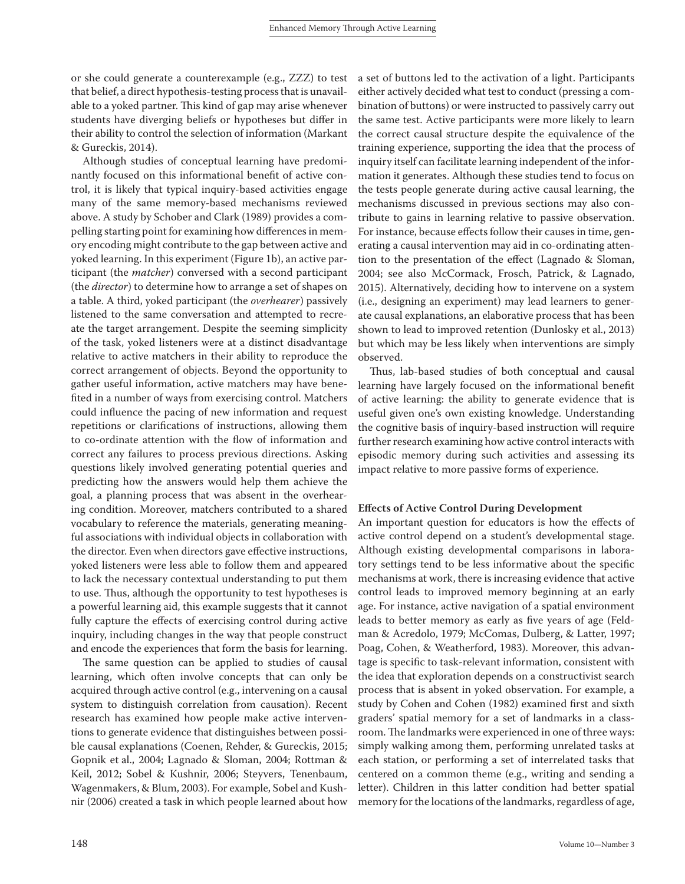or she could generate a counterexample (e.g., ZZZ) to test that belief, a direct hypothesis-testing process that is unavailable to a yoked partner. This kind of gap may arise whenever students have diverging beliefs or hypotheses but differ in their ability to control the selection of information (Markant & Gureckis, 2014).

Although studies of conceptual learning have predominantly focused on this informational benefit of active control, it is likely that typical inquiry-based activities engage many of the same memory-based mechanisms reviewed above. A study by Schober and Clark (1989) provides a compelling starting point for examining how differences in memory encoding might contribute to the gap between active and yoked learning. In this experiment (Figure 1b), an active participant (the *matcher*) conversed with a second participant (the *director*) to determine how to arrange a set of shapes on a table. A third, yoked participant (the *overhearer*) passively listened to the same conversation and attempted to recreate the target arrangement. Despite the seeming simplicity of the task, yoked listeners were at a distinct disadvantage relative to active matchers in their ability to reproduce the correct arrangement of objects. Beyond the opportunity to gather useful information, active matchers may have benefited in a number of ways from exercising control. Matchers could influence the pacing of new information and request repetitions or clarifications of instructions, allowing them to co-ordinate attention with the flow of information and correct any failures to process previous directions. Asking questions likely involved generating potential queries and predicting how the answers would help them achieve the goal, a planning process that was absent in the overhearing condition. Moreover, matchers contributed to a shared vocabulary to reference the materials, generating meaningful associations with individual objects in collaboration with the director. Even when directors gave effective instructions, yoked listeners were less able to follow them and appeared to lack the necessary contextual understanding to put them to use. Thus, although the opportunity to test hypotheses is a powerful learning aid, this example suggests that it cannot fully capture the effects of exercising control during active inquiry, including changes in the way that people construct and encode the experiences that form the basis for learning.

The same question can be applied to studies of causal learning, which often involve concepts that can only be acquired through active control (e.g., intervening on a causal system to distinguish correlation from causation). Recent research has examined how people make active interventions to generate evidence that distinguishes between possible causal explanations (Coenen, Rehder, & Gureckis, 2015; Gopnik et al., 2004; Lagnado & Sloman, 2004; Rottman & Keil, 2012; Sobel & Kushnir, 2006; Steyvers, Tenenbaum, Wagenmakers, & Blum, 2003). For example, Sobel and Kushnir (2006) created a task in which people learned about how a set of buttons led to the activation of a light. Participants either actively decided what test to conduct (pressing a combination of buttons) or were instructed to passively carry out the same test. Active participants were more likely to learn the correct causal structure despite the equivalence of the training experience, supporting the idea that the process of inquiry itself can facilitate learning independent of the information it generates. Although these studies tend to focus on the tests people generate during active causal learning, the mechanisms discussed in previous sections may also contribute to gains in learning relative to passive observation. For instance, because effects follow their causes in time, generating a causal intervention may aid in co-ordinating attention to the presentation of the effect (Lagnado & Sloman, 2004; see also McCormack, Frosch, Patrick, & Lagnado, 2015). Alternatively, deciding how to intervene on a system (i.e., designing an experiment) may lead learners to generate causal explanations, an elaborative process that has been shown to lead to improved retention (Dunlosky et al., 2013) but which may be less likely when interventions are simply observed.

Thus, lab-based studies of both conceptual and causal learning have largely focused on the informational benefit of active learning: the ability to generate evidence that is useful given one's own existing knowledge. Understanding the cognitive basis of inquiry-based instruction will require further research examining how active control interacts with episodic memory during such activities and assessing its impact relative to more passive forms of experience.

#### **Effects of Active Control During Development**

An important question for educators is how the effects of active control depend on a student's developmental stage. Although existing developmental comparisons in laboratory settings tend to be less informative about the specific mechanisms at work, there is increasing evidence that active control leads to improved memory beginning at an early age. For instance, active navigation of a spatial environment leads to better memory as early as five years of age (Feldman & Acredolo, 1979; McComas, Dulberg, & Latter, 1997; Poag, Cohen, & Weatherford, 1983). Moreover, this advantage is specific to task-relevant information, consistent with the idea that exploration depends on a constructivist search process that is absent in yoked observation. For example, a study by Cohen and Cohen (1982) examined first and sixth graders' spatial memory for a set of landmarks in a classroom. The landmarks were experienced in one of three ways: simply walking among them, performing unrelated tasks at each station, or performing a set of interrelated tasks that centered on a common theme (e.g., writing and sending a letter). Children in this latter condition had better spatial memory for the locations of the landmarks, regardless of age,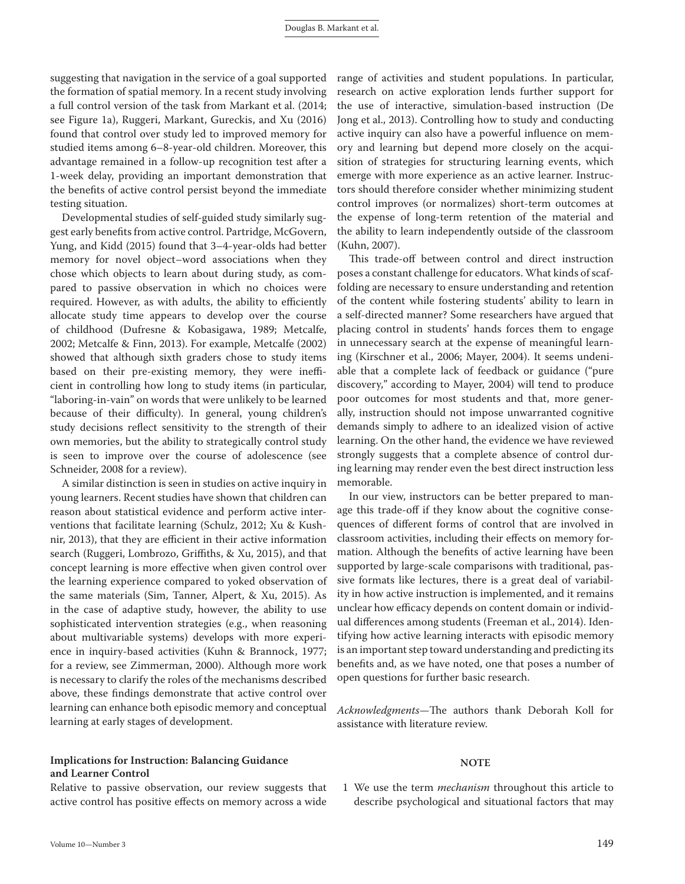suggesting that navigation in the service of a goal supported the formation of spatial memory. In a recent study involving a full control version of the task from Markant et al. (2014; see Figure 1a), Ruggeri, Markant, Gureckis, and Xu (2016) found that control over study led to improved memory for studied items among 6–8-year-old children. Moreover, this advantage remained in a follow-up recognition test after a 1-week delay, providing an important demonstration that the benefits of active control persist beyond the immediate testing situation.

Developmental studies of self-guided study similarly suggest early benefits from active control. Partridge, McGovern, Yung, and Kidd (2015) found that 3–4-year-olds had better memory for novel object–word associations when they chose which objects to learn about during study, as compared to passive observation in which no choices were required. However, as with adults, the ability to efficiently allocate study time appears to develop over the course of childhood (Dufresne & Kobasigawa, 1989; Metcalfe, 2002; Metcalfe & Finn, 2013). For example, Metcalfe (2002) showed that although sixth graders chose to study items based on their pre-existing memory, they were inefficient in controlling how long to study items (in particular, "laboring-in-vain" on words that were unlikely to be learned because of their difficulty). In general, young children's study decisions reflect sensitivity to the strength of their own memories, but the ability to strategically control study is seen to improve over the course of adolescence (see Schneider, 2008 for a review).

A similar distinction is seen in studies on active inquiry in young learners. Recent studies have shown that children can reason about statistical evidence and perform active interventions that facilitate learning (Schulz, 2012; Xu & Kushnir, 2013), that they are efficient in their active information search (Ruggeri, Lombrozo, Griffiths, & Xu, 2015), and that concept learning is more effective when given control over the learning experience compared to yoked observation of the same materials (Sim, Tanner, Alpert, & Xu, 2015). As in the case of adaptive study, however, the ability to use sophisticated intervention strategies (e.g., when reasoning about multivariable systems) develops with more experience in inquiry-based activities (Kuhn & Brannock, 1977; for a review, see Zimmerman, 2000). Although more work is necessary to clarify the roles of the mechanisms described above, these findings demonstrate that active control over learning can enhance both episodic memory and conceptual learning at early stages of development.

# **Implications for Instruction: Balancing Guidance and Learner Control**

Relative to passive observation, our review suggests that active control has positive effects on memory across a wide

range of activities and student populations. In particular, research on active exploration lends further support for the use of interactive, simulation-based instruction (De Jong et al., 2013). Controlling how to study and conducting active inquiry can also have a powerful influence on memory and learning but depend more closely on the acquisition of strategies for structuring learning events, which emerge with more experience as an active learner. Instructors should therefore consider whether minimizing student control improves (or normalizes) short-term outcomes at the expense of long-term retention of the material and the ability to learn independently outside of the classroom (Kuhn, 2007).

This trade-off between control and direct instruction poses a constant challenge for educators. What kinds of scaffolding are necessary to ensure understanding and retention of the content while fostering students' ability to learn in a self-directed manner? Some researchers have argued that placing control in students' hands forces them to engage in unnecessary search at the expense of meaningful learning (Kirschner et al., 2006; Mayer, 2004). It seems undeniable that a complete lack of feedback or guidance ("pure discovery," according to Mayer, 2004) will tend to produce poor outcomes for most students and that, more generally, instruction should not impose unwarranted cognitive demands simply to adhere to an idealized vision of active learning. On the other hand, the evidence we have reviewed strongly suggests that a complete absence of control during learning may render even the best direct instruction less memorable.

In our view, instructors can be better prepared to manage this trade-off if they know about the cognitive consequences of different forms of control that are involved in classroom activities, including their effects on memory formation. Although the benefits of active learning have been supported by large-scale comparisons with traditional, passive formats like lectures, there is a great deal of variability in how active instruction is implemented, and it remains unclear how efficacy depends on content domain or individual differences among students (Freeman et al., 2014). Identifying how active learning interacts with episodic memory is an important step toward understanding and predicting its benefits and, as we have noted, one that poses a number of open questions for further basic research.

*Acknowledgments—*The authors thank Deborah Koll for assistance with literature review.

## **NOTE**

1 We use the term *mechanism* throughout this article to describe psychological and situational factors that may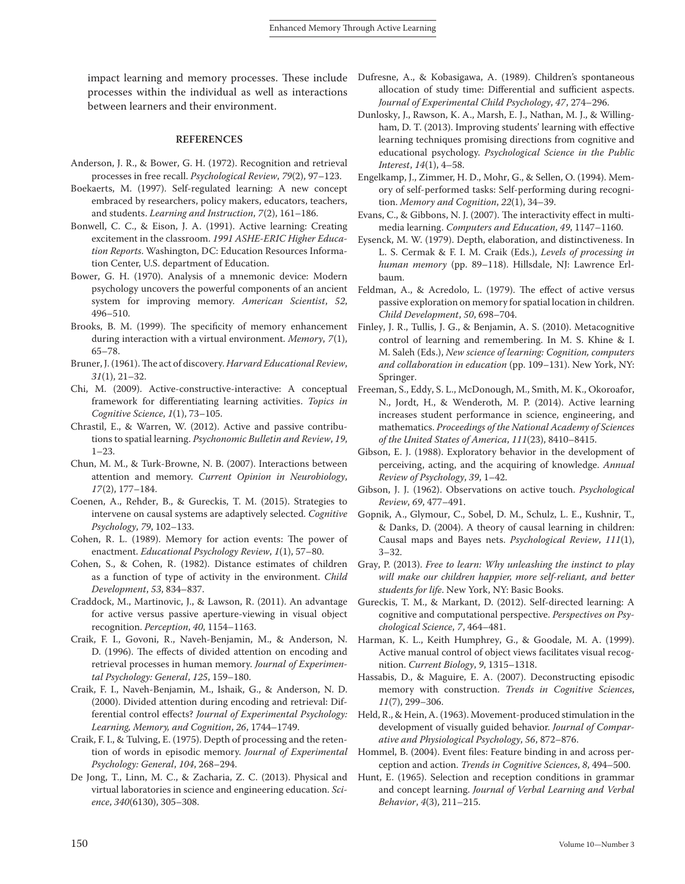impact learning and memory processes. These include processes within the individual as well as interactions between learners and their environment.

#### **REFERENCES**

- Anderson, J. R., & Bower, G. H. (1972). Recognition and retrieval processes in free recall. *Psychological Review*, *79*(2), 97–123.
- Boekaerts, M. (1997). Self-regulated learning: A new concept embraced by researchers, policy makers, educators, teachers, and students. *Learning and Instruction*, *7*(2), 161–186.
- Bonwell, C. C., & Eison, J. A. (1991). Active learning: Creating excitement in the classroom. *1991 ASHE-ERIC Higher Education Reports*. Washington, DC: Education Resources Information Center, U.S. department of Education.
- Bower, G. H. (1970). Analysis of a mnemonic device: Modern psychology uncovers the powerful components of an ancient system for improving memory. *American Scientist*, *52*, 496–510.
- Brooks, B. M. (1999). The specificity of memory enhancement during interaction with a virtual environment. *Memory*, *7*(1), 65–78.
- Bruner, J. (1961).The act of discovery. *Harvard Educational Review*, *31*(1), 21–32.
- Chi, M. (2009). Active-constructive-interactive: A conceptual framework for differentiating learning activities. *Topics in Cognitive Science*, *1*(1), 73–105.
- Chrastil, E., & Warren, W. (2012). Active and passive contributions to spatial learning. *Psychonomic Bulletin and Review*, *19*, 1–23.
- Chun, M. M., & Turk-Browne, N. B. (2007). Interactions between attention and memory. *Current Opinion in Neurobiology*, *17*(2), 177–184.
- Coenen, A., Rehder, B., & Gureckis, T. M. (2015). Strategies to intervene on causal systems are adaptively selected. *Cognitive Psychology*, *79*, 102–133.
- Cohen, R. L. (1989). Memory for action events: The power of enactment. *Educational Psychology Review*, *1*(1), 57–80.
- Cohen, S., & Cohen, R. (1982). Distance estimates of children as a function of type of activity in the environment. *Child Development*, *53*, 834–837.
- Craddock, M., Martinovic, J., & Lawson, R. (2011). An advantage for active versus passive aperture-viewing in visual object recognition. *Perception*, *40*, 1154–1163.
- Craik, F. I., Govoni, R., Naveh-Benjamin, M., & Anderson, N. D. (1996). The effects of divided attention on encoding and retrieval processes in human memory. *Journal of Experimental Psychology: General*, *125*, 159–180.
- Craik, F. I., Naveh-Benjamin, M., Ishaik, G., & Anderson, N. D. (2000). Divided attention during encoding and retrieval: Differential control effects? *Journal of Experimental Psychology: Learning, Memory, and Cognition*, *26*, 1744–1749.
- Craik, F. I., & Tulving, E. (1975). Depth of processing and the retention of words in episodic memory. *Journal of Experimental Psychology: General*, *104*, 268–294.
- De Jong, T., Linn, M. C., & Zacharia, Z. C. (2013). Physical and virtual laboratories in science and engineering education. *Science*, *340*(6130), 305–308.
- Dufresne, A., & Kobasigawa, A. (1989). Children's spontaneous allocation of study time: Differential and sufficient aspects. *Journal of Experimental Child Psychology*, *47*, 274–296.
- Dunlosky, J., Rawson, K. A., Marsh, E. J., Nathan, M. J., & Willingham, D. T. (2013). Improving students' learning with effective learning techniques promising directions from cognitive and educational psychology. *Psychological Science in the Public Interest*, *14*(1), 4–58.
- Engelkamp, J., Zimmer, H. D., Mohr, G., & Sellen, O. (1994). Memory of self-performed tasks: Self-performing during recognition. *Memory and Cognition*, *22*(1), 34–39.
- Evans, C., & Gibbons, N. J. (2007). The interactivity effect in multimedia learning. *Computers and Education*, *49*, 1147–1160.
- Eysenck, M. W. (1979). Depth, elaboration, and distinctiveness. In L. S. Cermak & F. I. M. Craik (Eds.), *Levels of processing in human memory* (pp. 89–118). Hillsdale, NJ: Lawrence Erlbaum.
- Feldman, A., & Acredolo, L. (1979). The effect of active versus passive exploration on memory for spatial location in children. *Child Development*, *50*, 698–704.
- Finley, J. R., Tullis, J. G., & Benjamin, A. S. (2010). Metacognitive control of learning and remembering. In M. S. Khine & I. M. Saleh (Eds.), *New science of learning: Cognition, computers and collaboration in education* (pp. 109–131). New York, NY: Springer.
- Freeman, S., Eddy, S. L., McDonough, M., Smith, M. K., Okoroafor, N., Jordt, H., & Wenderoth, M. P. (2014). Active learning increases student performance in science, engineering, and mathematics. *Proceedings of the National Academy of Sciences of the United States of America*, *111*(23), 8410–8415.
- Gibson, E. J. (1988). Exploratory behavior in the development of perceiving, acting, and the acquiring of knowledge. *Annual Review of Psychology*, *39*, 1–42.
- Gibson, J. J. (1962). Observations on active touch. *Psychological Review*, *69*, 477–491.
- Gopnik, A., Glymour, C., Sobel, D. M., Schulz, L. E., Kushnir, T., & Danks, D. (2004). A theory of causal learning in children: Causal maps and Bayes nets. *Psychological Review*, *111*(1), 3–32.
- Gray, P. (2013). *Free to learn: Why unleashing the instinct to play will make our children happier, more self-reliant, and better students for life*. New York, NY: Basic Books.
- Gureckis, T. M., & Markant, D. (2012). Self-directed learning: A cognitive and computational perspective. *Perspectives on Psychological Science*, *7*, 464–481.
- Harman, K. L., Keith Humphrey, G., & Goodale, M. A. (1999). Active manual control of object views facilitates visual recognition. *Current Biology*, *9*, 1315–1318.
- Hassabis, D., & Maguire, E. A. (2007). Deconstructing episodic memory with construction. *Trends in Cognitive Sciences*, *11*(7), 299–306.
- Held, R., & Hein, A. (1963). Movement-produced stimulation in the development of visually guided behavior. *Journal of Comparative and Physiological Psychology*, *56*, 872–876.
- Hommel, B. (2004). Event files: Feature binding in and across perception and action. *Trends in Cognitive Sciences*, *8*, 494–500.
- Hunt, E. (1965). Selection and reception conditions in grammar and concept learning. *Journal of Verbal Learning and Verbal Behavior*, *4*(3), 211–215.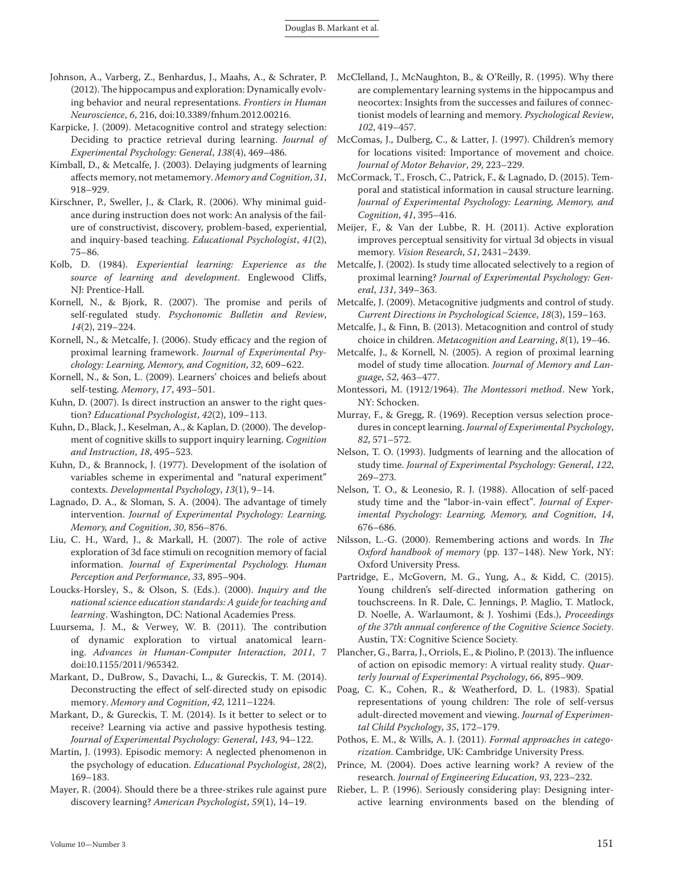- Johnson, A., Varberg, Z., Benhardus, J., Maahs, A., & Schrater, P. (2012).The hippocampus and exploration: Dynamically evolving behavior and neural representations. *Frontiers in Human Neuroscience*, *6*, 216, doi:10.3389/fnhum.2012.00216.
- Karpicke, J. (2009). Metacognitive control and strategy selection: Deciding to practice retrieval during learning. *Journal of Experimental Psychology: General*, *138*(4), 469–486.
- Kimball, D., & Metcalfe, J. (2003). Delaying judgments of learning affects memory, not metamemory. *Memory and Cognition*, *31*, 918–929.
- Kirschner, P., Sweller, J., & Clark, R. (2006). Why minimal guidance during instruction does not work: An analysis of the failure of constructivist, discovery, problem-based, experiential, and inquiry-based teaching. *Educational Psychologist*, *41*(2), 75–86.
- Kolb, D. (1984). *Experiential learning: Experience as the source of learning and development*. Englewood Cliffs, NJ: Prentice-Hall.
- Kornell, N., & Bjork, R. (2007). The promise and perils of self-regulated study. *Psychonomic Bulletin and Review*, *14*(2), 219–224.
- Kornell, N., & Metcalfe, J. (2006). Study efficacy and the region of proximal learning framework. *Journal of Experimental Psychology: Learning, Memory, and Cognition*, *32*, 609–622.
- Kornell, N., & Son, L. (2009). Learners' choices and beliefs about self-testing. *Memory*, *17*, 493–501.
- Kuhn, D. (2007). Is direct instruction an answer to the right question? *Educational Psychologist*, *42*(2), 109–113.
- Kuhn, D., Black, J., Keselman, A., & Kaplan, D. (2000). The development of cognitive skills to support inquiry learning. *Cognition and Instruction*, *18*, 495–523.
- Kuhn, D., & Brannock, J. (1977). Development of the isolation of variables scheme in experimental and "natural experiment" contexts. *Developmental Psychology*, *13*(1), 9–14.
- Lagnado, D. A., & Sloman, S. A. (2004). The advantage of timely intervention. *Journal of Experimental Psychology: Learning, Memory, and Cognition*, *30*, 856–876.
- Liu, C. H., Ward, J., & Markall, H. (2007). The role of active exploration of 3d face stimuli on recognition memory of facial information. *Journal of Experimental Psychology. Human Perception and Performance*, *33*, 895–904.
- Loucks-Horsley, S., & Olson, S. (Eds.). (2000). *Inquiry and the national science education standards: A guide for teaching and learning*. Washington, DC: National Academies Press.
- Luursema, J. M., & Verwey, W. B. (2011). The contribution of dynamic exploration to virtual anatomical learning. *Advances in Human-Computer Interaction*, *2011*, 7 doi:10.1155/2011/965342.
- Markant, D., DuBrow, S., Davachi, L., & Gureckis, T. M. (2014). Deconstructing the effect of self-directed study on episodic memory. *Memory and Cognition*, *42*, 1211–1224.
- Markant, D., & Gureckis, T. M. (2014). Is it better to select or to receive? Learning via active and passive hypothesis testing. *Journal of Experimental Psychology: General*, *143*, 94–122.
- Martin, J. (1993). Episodic memory: A neglected phenomenon in the psychology of education. *Educational Psychologist*, *28*(2), 169–183.
- Mayer, R. (2004). Should there be a three-strikes rule against pure discovery learning? *American Psychologist*, *59*(1), 14–19.
- McClelland, J., McNaughton, B., & O'Reilly, R. (1995). Why there are complementary learning systems in the hippocampus and neocortex: Insights from the successes and failures of connectionist models of learning and memory. *Psychological Review*, *102*, 419–457.
- McComas, J., Dulberg, C., & Latter, J. (1997). Children's memory for locations visited: Importance of movement and choice. *Journal of Motor Behavior*, *29*, 223–229.
- McCormack, T., Frosch, C., Patrick, F., & Lagnado, D. (2015). Temporal and statistical information in causal structure learning. *Journal of Experimental Psychology: Learning, Memory, and Cognition*, *41*, 395–416.
- Meijer, F., & Van der Lubbe, R. H. (2011). Active exploration improves perceptual sensitivity for virtual 3d objects in visual memory. *Vision Research*, *51*, 2431–2439.
- Metcalfe, J. (2002). Is study time allocated selectively to a region of proximal learning? *Journal of Experimental Psychology: General*, *131*, 349–363.
- Metcalfe, J. (2009). Metacognitive judgments and control of study. *Current Directions in Psychological Science*, *18*(3), 159–163.
- Metcalfe, J., & Finn, B. (2013). Metacognition and control of study choice in children. *Metacognition and Learning*, *8*(1), 19–46.
- Metcalfe, J., & Kornell, N. (2005). A region of proximal learning model of study time allocation. *Journal of Memory and Language*, *52*, 463–477.
- Montessori, M. (1912/1964). *The Montessori method*. New York, NY: Schocken.
- Murray, F., & Gregg, R. (1969). Reception versus selection procedures in concept learning. *Journal of Experimental Psychology*, *82*, 571–572.
- Nelson, T. O. (1993). Judgments of learning and the allocation of study time. *Journal of Experimental Psychology: General*, *122*, 269–273.
- Nelson, T. O., & Leonesio, R. J. (1988). Allocation of self-paced study time and the "labor-in-vain effect". *Journal of Experimental Psychology: Learning, Memory, and Cognition*, *14*, 676–686.
- Nilsson, L.-G. (2000). Remembering actions and words. In *The Oxford handbook of memory* (pp. 137–148). New York, NY: Oxford University Press.
- Partridge, E., McGovern, M. G., Yung, A., & Kidd, C. (2015). Young children's self-directed information gathering on touchscreens. In R. Dale, C. Jennings, P. Maglio, T. Matlock, D. Noelle, A. Warlaumont, & J. Yoshimi (Eds.), *Proceedings of the 37th annual conference of the Cognitive Science Society*. Austin, TX: Cognitive Science Society.
- Plancher, G., Barra, J., Orriols, E., & Piolino, P. (2013). The influence of action on episodic memory: A virtual reality study. *Quarterly Journal of Experimental Psychology*, *66*, 895–909.
- Poag, C. K., Cohen, R., & Weatherford, D. L. (1983). Spatial representations of young children: The role of self-versus adult-directed movement and viewing. *Journal of Experimental Child Psychology*, *35*, 172–179.
- Pothos, E. M., & Wills, A. J. (2011). *Formal approaches in categorization*. Cambridge, UK: Cambridge University Press.
- Prince, M. (2004). Does active learning work? A review of the research. *Journal of Engineering Education*, *93*, 223–232.
- Rieber, L. P. (1996). Seriously considering play: Designing interactive learning environments based on the blending of